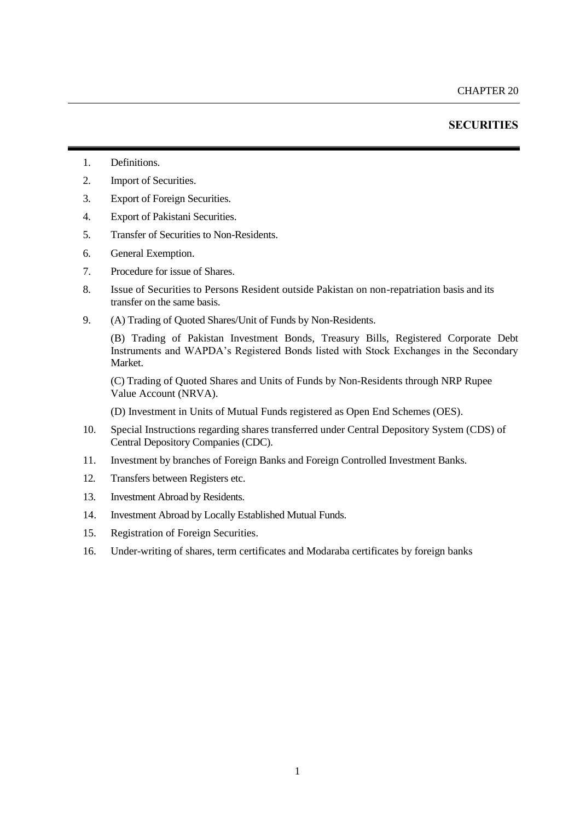# **SECURITIES**

- 1. Definitions.
- 2. Import of Securities.
- 3. Export of Foreign Securities.
- 4. Export of Pakistani Securities.
- 5. Transfer of Securities to Non-Residents.
- 6. General Exemption.
- 7. Procedure for issue of Shares.
- 8. Issue of Securities to Persons Resident outside Pakistan on non-repatriation basis and its transfer on the same basis.
- 9. (A) Trading of Quoted Shares/Unit of Funds by Non-Residents.

(B) Trading of Pakistan Investment Bonds, Treasury Bills, Registered Corporate Debt Instruments and WAPDA's Registered Bonds listed with Stock Exchanges in the Secondary Market.

(C) Trading of Quoted Shares and Units of Funds by Non-Residents through NRP Rupee Value Account (NRVA).

(D) Investment in Units of Mutual Funds registered as Open End Schemes (OES).

- 10. Special Instructions regarding shares transferred under Central Depository System (CDS) of Central Depository Companies (CDC).
- 11. Investment by branches of Foreign Banks and Foreign Controlled Investment Banks.
- 12. Transfers between Registers etc.
- 13. Investment Abroad by Residents.
- 14. Investment Abroad by Locally Established Mutual Funds.
- 15. Registration of Foreign Securities.
- 16. Under-writing of shares, term certificates and Modaraba certificates by foreign banks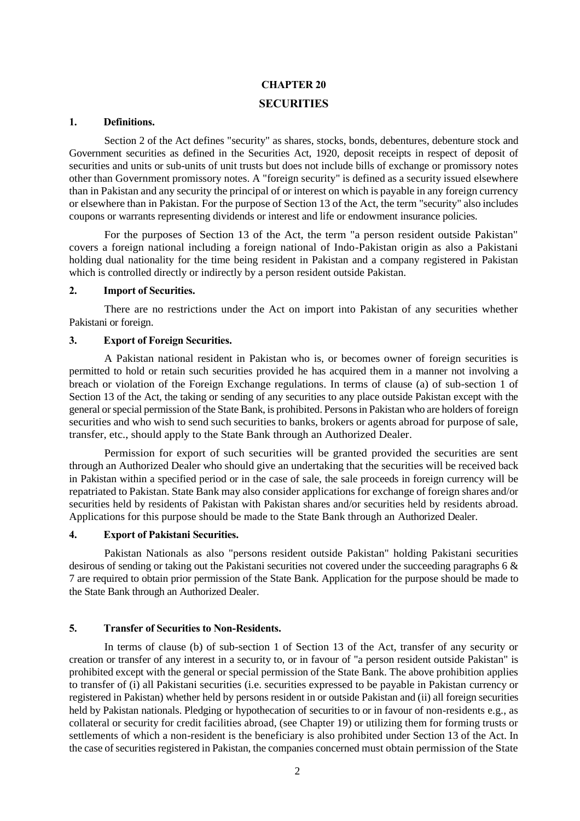# **CHAPTER 20 SECURITIES**

# **1. Definitions.**

Section 2 of the Act defines "security" as shares, stocks, bonds, debentures, debenture stock and Government securities as defined in the Securities Act, 1920, deposit receipts in respect of deposit of securities and units or sub-units of unit trusts but does not include bills of exchange or promissory notes other than Government promissory notes. A "foreign security" is defined as a security issued elsewhere than in Pakistan and any security the principal of or interest on which is payable in any foreign currency or elsewhere than in Pakistan. For the purpose of Section 13 of the Act, the term "security" also includes coupons or warrants representing dividends or interest and life or endowment insurance policies.

For the purposes of Section 13 of the Act, the term "a person resident outside Pakistan" covers a foreign national including a foreign national of Indo-Pakistan origin as also a Pakistani holding dual nationality for the time being resident in Pakistan and a company registered in Pakistan which is controlled directly or indirectly by a person resident outside Pakistan.

#### **2. Import of Securities.**

There are no restrictions under the Act on import into Pakistan of any securities whether Pakistani or foreign.

#### **3. Export of Foreign Securities.**

A Pakistan national resident in Pakistan who is, or becomes owner of foreign securities is permitted to hold or retain such securities provided he has acquired them in a manner not involving a breach or violation of the Foreign Exchange regulations. In terms of clause (a) of sub-section 1 of Section 13 of the Act, the taking or sending of any securities to any place outside Pakistan except with the general or special permission of the State Bank, is prohibited. Persons in Pakistan who are holders of foreign securities and who wish to send such securities to banks, brokers or agents abroad for purpose of sale, transfer, etc., should apply to the State Bank through an Authorized Dealer.

Permission for export of such securities will be granted provided the securities are sent through an Authorized Dealer who should give an undertaking that the securities will be received back in Pakistan within a specified period or in the case of sale, the sale proceeds in foreign currency will be repatriated to Pakistan. State Bank may also consider applications for exchange of foreign shares and/or securities held by residents of Pakistan with Pakistan shares and/or securities held by residents abroad. Applications for this purpose should be made to the State Bank through an Authorized Dealer.

# **4. Export of Pakistani Securities.**

Pakistan Nationals as also "persons resident outside Pakistan" holding Pakistani securities desirous of sending or taking out the Pakistani securities not covered under the succeeding [paragraphs](file:///C:/Users/arshad8229/AppData/Local/Microsoft/Windows/shafiqur%20rehman/AppData/Local/Microsoft/Windows/Temporary%20Internet%20Files/chapter20.htm%23Bullet7) [6 &](file:///C:/Users/arshad8229/AppData/Local/Microsoft/Windows/shafiqur%20rehman/AppData/Local/Microsoft/Windows/Temporary%20Internet%20Files/chapter20.htm%23Bullet7)  [7](file:///C:/Users/arshad8229/AppData/Local/Microsoft/Windows/shafiqur%20rehman/AppData/Local/Microsoft/Windows/Temporary%20Internet%20Files/chapter20.htm%23Bullet7) are required to obtain prior permission of the State Bank. Application for the purpose should be made to the State Bank through an Authorized Dealer.

### **5. Transfer of Securities to Non-Residents.**

In terms of clause (b) of sub-section 1 of Section 13 of the Act, transfer of any security or creation or transfer of any interest in a security to, or in favour of "a person resident outside Pakistan" is prohibited except with the general or special permission of the State Bank. The above prohibition applies to transfer of (i) all Pakistani securities (i.e. securities expressed to be payable in Pakistan currency or registered in Pakistan) whether held by persons resident in or outside Pakistan and (ii) all foreign securities held by Pakistan nationals. Pledging or hypothecation of securities to or in favour of non-residents e.g., as collateral or security for credit facilities abroad, [\(see Chapter](file:///C:/Users/arshad8229/AppData/Local/Microsoft/Windows/shafiqur%20rehman/AppData/Local/Microsoft/Windows/Temporary%20Internet%20Files/chapter19.htm) 19) or utilizing them for forming trusts or settlements of which a non-resident is the beneficiary is also prohibited under Section 13 of the Act. In the case of securities registered in Pakistan, the companies concerned must obtain permission of the State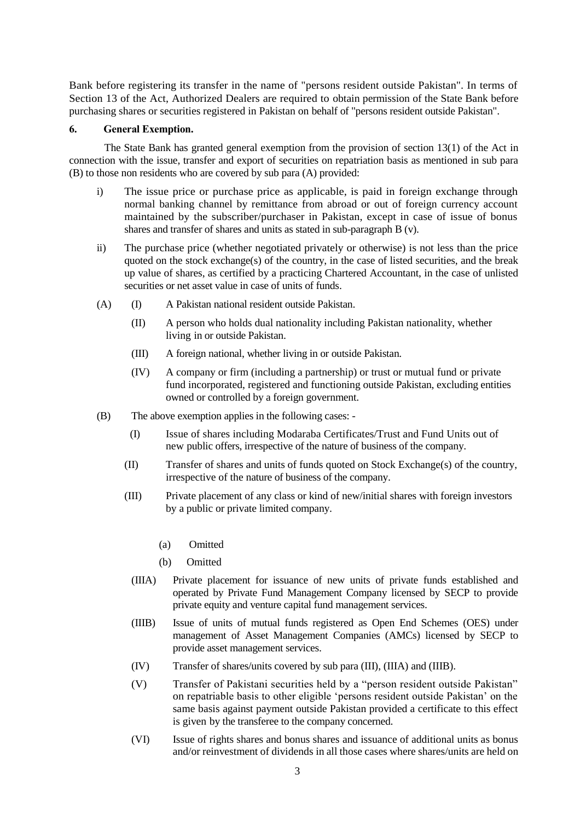Bank before registering its transfer in the name of "persons resident outside Pakistan". In terms of Section 13 of the Act, Authorized Dealers are required to obtain permission of the State Bank before purchasing shares or securities registered in Pakistan on behalf of "persons resident outside Pakistan".

# **6. General Exemption.**

The State Bank has granted general exemption from the provision of section 13(1) of the Act in connection with the issue, transfer and export of securities on repatriation basis as mentioned in sub para (B) to those non residents who are covered by sub para (A) provided:

- i) The issue price or purchase price as applicable, is paid in foreign exchange through normal banking channel by remittance from abroad or out of foreign currency account maintained by the subscriber/purchaser in Pakistan, except in case of issue of bonus shares and transfer of shares and units as stated in sub-paragraph B (v).
- ii) The purchase price (whether negotiated privately or otherwise) is not less than the price quoted on the stock exchange(s) of the country, in the case of listed securities, and the break up value of shares, as certified by a practicing Chartered Accountant, in the case of unlisted securities or net asset value in case of units of funds.
- (A) (I) A Pakistan national resident outside Pakistan.
	- (II) A person who holds dual nationality including Pakistan nationality, whether living in or outside Pakistan.
	- (III) A foreign national, whether living in or outside Pakistan.
	- (IV) A company or firm (including a partnership) or trust or mutual fund or private fund incorporated, registered and functioning outside Pakistan, excluding entities owned or controlled by a foreign government.
- (B) The above exemption applies in the following cases:
	- (I) Issue of shares including Modaraba Certificates/Trust and Fund Units out of new public offers, irrespective of the nature of business of the company.
	- (II) Transfer of shares and units of funds quoted on Stock Exchange(s) of the country, irrespective of the nature of business of the company.
	- (III) Private placement of any class or kind of new/initial shares with foreign investors by a public or private limited company.
		- (a) Omitted
		- (b) Omitted
		- (IIIA) Private placement for issuance of new units of private funds established and operated by Private Fund Management Company licensed by SECP to provide private equity and venture capital fund management services.
		- (IIIB) Issue of units of mutual funds registered as Open End Schemes (OES) under management of Asset Management Companies (AMCs) licensed by SECP to provide asset management services.
		- (IV) Transfer of shares/units covered by sub para (III), (IIIA) and (IIIB).
		- (V) Transfer of Pakistani securities held by a "person resident outside Pakistan" on repatriable basis to other eligible 'persons resident outside Pakistan' on the same basis against payment outside Pakistan provided a certificate to this effect is given by the transferee to the company concerned.
		- (VI) Issue of rights shares and bonus shares and issuance of additional units as bonus and/or reinvestment of dividends in all those cases where shares/units are held on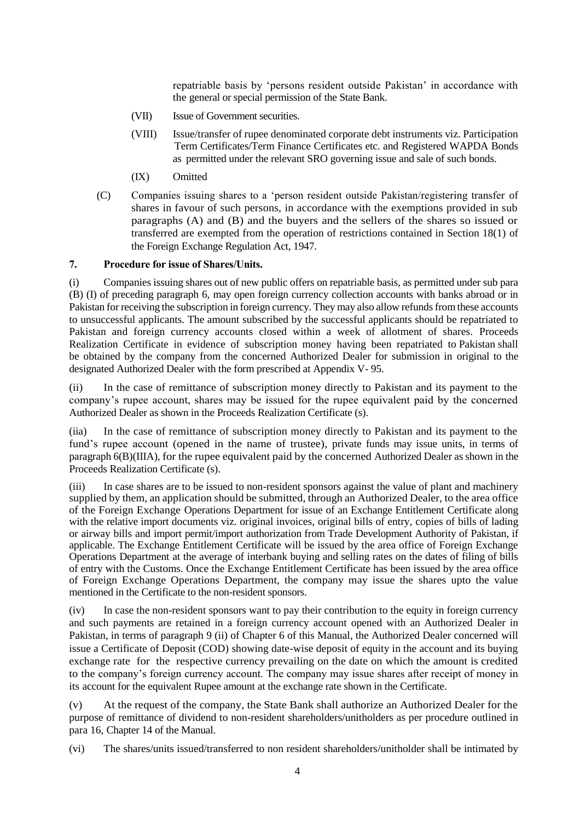repatriable basis by 'persons resident outside Pakistan' in accordance with the general or special permission of the State Bank.

- (VII) Issue of Government securities.
- (VIII) Issue/transfer of rupee denominated corporate debt instruments viz. Participation Term Certificates/Term Finance Certificates etc. and Registered WAPDA Bonds as permitted under the relevant SRO governing issue and sale of such bonds.
- (IX) Omitted
- (C) Companies issuing shares to a 'person resident outside Pakistan/registering transfer of shares in favour of such persons, in accordance with the exemptions provided in sub paragraphs (A) and (B) and the buyers and the sellers of the shares so issued or transferred are exempted from the operation of restrictions contained in Section 18(1) of the Foreign Exchange Regulation Act, 1947.

# **7. Procedure for issue of Shares/Units.**

(i) Companies issuing shares out of new public offers on repatriable basis, as permitted under sub para (B) (I) of preceding paragraph 6, may open foreign currency collection accounts with banks abroad or in Pakistan for receiving the subscription in foreign currency. They may also allow refunds from these accounts to unsuccessful applicants. The amount subscribed by the successful applicants should be repatriated to Pakistan and foreign currency accounts closed within a week of allotment of shares. Proceeds Realization Certificate in evidence of subscription money having been repatriated to Pakistan shall be obtained by the company from the concerned Authorized Dealer for submission in original to the designated Authorized Dealer with the form prescribed at Appendix V- 95.

(ii) In the case of remittance of subscription money directly to Pakistan and its payment to the company's rupee account, shares may be issued for the rupee equivalent paid by the concerned Authorized Dealer as shown in the Proceeds Realization Certificate (s).

(iia) In the case of remittance of subscription money directly to Pakistan and its payment to the fund's rupee account (opened in the name of trustee), private funds may issue units, in terms of paragraph 6(B)(IIIA), for the rupee equivalent paid by the concerned Authorized Dealer as shown in the Proceeds Realization Certificate (s).

(iii) In case shares are to be issued to non-resident sponsors against the value of plant and machinery supplied by them, an application should be submitted, through an Authorized Dealer, to the area office of the Foreign Exchange Operations Department for issue of an Exchange Entitlement Certificate along with the relative import documents viz. original invoices, original bills of entry, copies of bills of lading or airway bills and import permit/import authorization from Trade Development Authority of Pakistan, if applicable. The Exchange Entitlement Certificate will be issued by the area office of Foreign Exchange Operations Department at the average of interbank buying and selling rates on the dates of filing of bills of entry with the Customs. Once the Exchange Entitlement Certificate has been issued by the area office of Foreign Exchange Operations Department, the company may issue the shares upto the value mentioned in the Certificate to the non-resident sponsors.

(iv) In case the non-resident sponsors want to pay their contribution to the equity in foreign currency and such payments are retained in a foreign currency account opened with an Authorized Dealer in Pakistan, in terms of paragraph 9 (ii) of Chapter 6 of this Manual, the Authorized Dealer concerned will issue a Certificate of Deposit (COD) showing date-wise deposit of equity in the account and its buying exchange rate for the respective currency prevailing on the date on which the amount is credited to the company's foreign currency account. The company may issue shares after receipt of money in its account for the equivalent Rupee amount at the exchange rate shown in the Certificate.

(v) At the request of the company, the State Bank shall authorize an Authorized Dealer for the purpose of remittance of dividend to non-resident shareholders/unitholders as per procedure outlined in para 16, Chapter 14 of the Manual.

(vi) The shares/units issued/transferred to non resident shareholders/unitholder shall be intimated by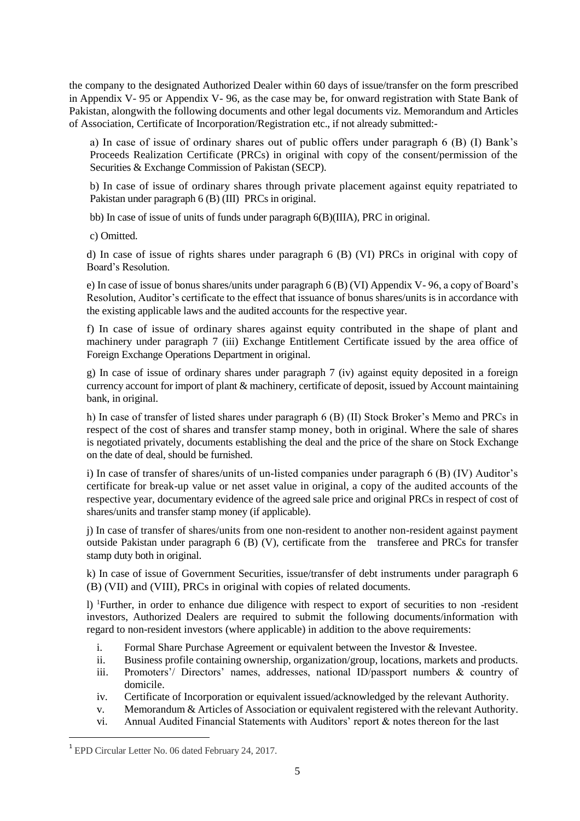the company to the designated Authorized Dealer within 60 days of issue/transfer on the form prescribed in Appendix V- 95 or Appendix V- 96, as the case may be, for onward registration with State Bank of Pakistan, alongwith the following documents and other legal documents viz. Memorandum and Articles of Association, Certificate of Incorporation/Registration etc., if not already submitted:-

a) In case of issue of ordinary shares out of public offers under paragraph 6 (B) (I) Bank's Proceeds Realization Certificate (PRCs) in original with copy of the consent/permission of the Securities & Exchange Commission of Pakistan (SECP).

b) In case of issue of ordinary shares through private placement against equity repatriated to Pakistan under paragraph 6 (B) (III) PRCs in original.

bb) In case of issue of units of funds under paragraph 6(B)(IIIA), PRC in original.

c) Omitted.

d) In case of issue of rights shares under paragraph 6 (B) (VI) PRCs in original with copy of Board's Resolution.

e) In case of issue of bonus shares/units under paragraph 6 (B) (VI) Appendix V- 96, a copy of Board's Resolution, Auditor's certificate to the effect that issuance of bonus shares/units is in accordance with the existing applicable laws and the audited accounts for the respective year.

f) In case of issue of ordinary shares against equity contributed in the shape of plant and machinery under paragraph 7 (iii) Exchange Entitlement Certificate issued by the area office of Foreign Exchange Operations Department in original.

g) In case of issue of ordinary shares under paragraph 7 (iv) against equity deposited in a foreign currency account for import of plant & machinery, certificate of deposit, issued by Account maintaining bank, in original.

h) In case of transfer of listed shares under paragraph 6 (B) (II) Stock Broker's Memo and PRCs in respect of the cost of shares and transfer stamp money, both in original. Where the sale of shares is negotiated privately, documents establishing the deal and the price of the share on Stock Exchange on the date of deal, should be furnished.

i) In case of transfer of shares/units of un-listed companies under paragraph 6 (B) (IV) Auditor's certificate for break-up value or net asset value in original, a copy of the audited accounts of the respective year, documentary evidence of the agreed sale price and original PRCs in respect of cost of shares/units and transfer stamp money (if applicable).

j) In case of transfer of shares/units from one non-resident to another non-resident against payment outside Pakistan under paragraph 6 (B) (V), certificate from the transferee and PRCs for transfer stamp duty both in original.

k) In case of issue of Government Securities, issue/transfer of debt instruments under paragraph 6 (B) (VII) and (VIII), PRCs in original with copies of related documents.

l) <sup>1</sup>Further, in order to enhance due diligence with respect to export of securities to non -resident investors, Authorized Dealers are required to submit the following documents/information with regard to non-resident investors (where applicable) in addition to the above requirements:

- i. Formal Share Purchase Agreement or equivalent between the Investor & Investee.
- ii. Business profile containing ownership, organization/group, locations, markets and products.
- iii. Promoters'/ Directors' names, addresses, national ID/passport numbers & country of domicile.
- iv. Certificate of Incorporation or equivalent issued/acknowledged by the relevant Authority.
- v. Memorandum & Articles of Association or equivalent registered with the relevant Authority.
- vi. Annual Audited Financial Statements with Auditors' report & notes thereon for the last

<sup>&</sup>lt;sup>1</sup> EPD Circular Letter No. 06 dated February 24, 2017.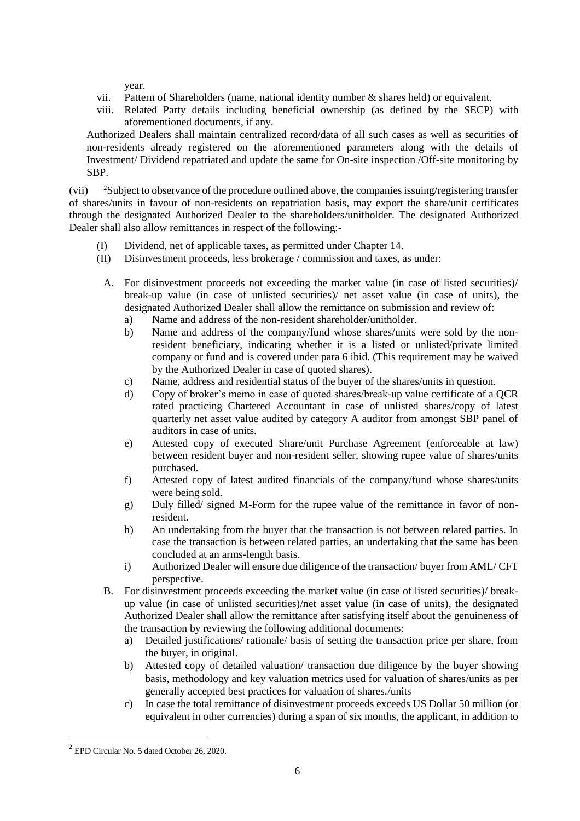year.

- vii. Pattern of Shareholders (name, national identity number & shares held) or equivalent.
- viii. Related Party details including beneficial ownership (as defined by the SECP) with aforementioned documents, if any.

Authorized Dealers shall maintain centralized record/data of all such cases as well as securities of non-residents already registered on the aforementioned parameters along with the details of Investment/ Dividend repatriated and update the same for On-site inspection /Off-site monitoring by SBP.

(vii) <sup>2</sup>Subject to observance of the procedure outlined above, the companies issuing/registering transfer of shares/units in favour of non-residents on repatriation basis, may export the share/unit certificates through the designated Authorized Dealer to the shareholders/unitholder. The designated Authorized Dealer shall also allow remittances in respect of the following:-

- (I) Dividend, net of applicable taxes, as permitted under Chapter 14.
- (II) Disinvestment proceeds, less brokerage / commission and taxes, as under:
	- A. For disinvestment proceeds not exceeding the market value (in case of listed securities)/ break-up value (in case of unlisted securities)/ net asset value (in case of units), the designated Authorized Dealer shall allow the remittance on submission and review of:
		- a) Name and address of the non-resident shareholder/unitholder.
		- b) Name and address of the company/fund whose shares/units were sold by the nonresident beneficiary, indicating whether it is a listed or unlisted/private limited company or fund and is covered under para 6 ibid. (This requirement may be waived by the Authorized Dealer in case of quoted shares).
		- c) Name, address and residential status of the buyer of the shares/units in question.
		- d) Copy of broker's memo in case of quoted shares/break-up value certificate of a QCR rated practicing Chartered Accountant in case of unlisted shares/copy of latest quarterly net asset value audited by category A auditor from amongst SBP panel of auditors in case of units.
		- e) Attested copy of executed Share/unit Purchase Agreement (enforceable at law) between resident buyer and non-resident seller, showing rupee value of shares/units purchased.
		- f) Attested copy of latest audited financials of the company/fund whose shares/units were being sold.
		- g) Duly filled/ signed M-Form for the rupee value of the remittance in favor of nonresident.
		- h) An undertaking from the buyer that the transaction is not between related parties. In case the transaction is between related parties, an undertaking that the same has been concluded at an arms-length basis.
		- i) Authorized Dealer will ensure due diligence of the transaction/ buyer from AML/ CFT perspective.
	- B. For disinvestment proceeds exceeding the market value (in case of listed securities)/ breakup value (in case of unlisted securities)/net asset value (in case of units), the designated Authorized Dealer shall allow the remittance after satisfying itself about the genuineness of the transaction by reviewing the following additional documents:
		- a) Detailed justifications/ rationale/ basis of setting the transaction price per share, from the buyer, in original.
		- b) Attested copy of detailed valuation/ transaction due diligence by the buyer showing basis, methodology and key valuation metrics used for valuation of shares/units as per generally accepted best practices for valuation of shares./units
		- c) In case the total remittance of disinvestment proceeds exceeds US Dollar 50 million (or equivalent in other currencies) during a span of six months, the applicant, in addition to

<sup>&</sup>lt;sup>2</sup> EPD Circular No. 5 dated October 26, 2020.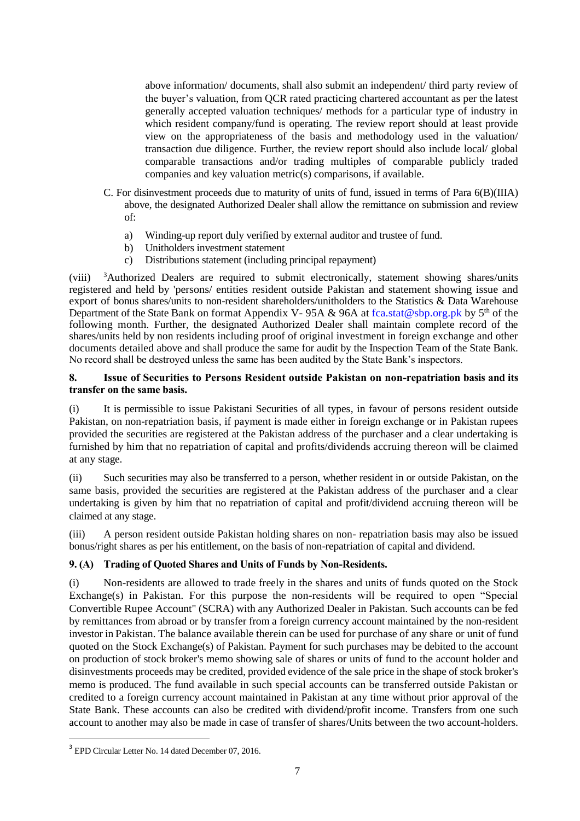above information/ documents, shall also submit an independent/ third party review of the buyer's valuation, from QCR rated practicing chartered accountant as per the latest generally accepted valuation techniques/ methods for a particular type of industry in which resident company/fund is operating. The review report should at least provide view on the appropriateness of the basis and methodology used in the valuation/ transaction due diligence. Further, the review report should also include local/ global comparable transactions and/or trading multiples of comparable publicly traded companies and key valuation metric(s) comparisons, if available.

- C. For disinvestment proceeds due to maturity of units of fund, issued in terms of Para 6(B)(IIIA) above, the designated Authorized Dealer shall allow the remittance on submission and review of:
	- a) Winding-up report duly verified by external auditor and trustee of fund.
	- b) Unitholders investment statement
	- c) Distributions statement (including principal repayment)

(viii) <sup>3</sup>Authorized Dealers are required to submit electronically, statement showing shares/units registered and held by 'persons/ entities resident outside Pakistan and statement showing issue and export of bonus shares/units to non-resident shareholders/unitholders to the Statistics & Data Warehouse Department of the State Bank on format Appendix V-95A & 96A at [fca.stat@sbp.org.pk](mailto:fca.stat@sbp.org.pk) by 5<sup>th</sup> of the following month. Further, the designated Authorized Dealer shall maintain complete record of the shares/units held by non residents including proof of original investment in foreign exchange and other documents detailed above and shall produce the same for audit by the Inspection Team of the State Bank. No record shall be destroyed unless the same has been audited by the State Bank's inspectors.

# **8. Issue of Securities to Persons Resident outside Pakistan on non-repatriation basis and its transfer on the same basis.**

(i) It is permissible to issue Pakistani Securities of all types, in favour of persons resident outside Pakistan, on non-repatriation basis, if payment is made either in foreign exchange or in Pakistan rupees provided the securities are registered at the Pakistan address of the purchaser and a clear undertaking is furnished by him that no repatriation of capital and profits/dividends accruing thereon will be claimed at any stage.

(ii) Such securities may also be transferred to a person, whether resident in or outside Pakistan, on the same basis, provided the securities are registered at the Pakistan address of the purchaser and a clear undertaking is given by him that no repatriation of capital and profit/dividend accruing thereon will be claimed at any stage.

(iii) A person resident outside Pakistan holding shares on non- repatriation basis may also be issued bonus/right shares as per his entitlement, on the basis of non-repatriation of capital and dividend.

### **9. (A) Trading of Quoted Shares and Units of Funds by Non-Residents.**

(i) Non-residents are allowed to trade freely in the shares and units of funds quoted on the Stock Exchange(s) in Pakistan. For this purpose the non-residents will be required to open "Special Convertible Rupee Account" (SCRA) with any Authorized Dealer in Pakistan. Such accounts can be fed by remittances from abroad or by transfer from a foreign currency account maintained by the non-resident investor in Pakistan. The balance available therein can be used for purchase of any share or unit of fund quoted on the Stock Exchange(s) of Pakistan. Payment for such purchases may be debited to the account on production of stock broker's memo showing sale of shares or units of fund to the account holder and disinvestments proceeds may be credited, provided evidence of the sale price in the shape of stock broker's memo is produced. The fund available in such special accounts can be transferred outside Pakistan or credited to a foreign currency account maintained in Pakistan at any time without prior approval of the State Bank. These accounts can also be credited with dividend/profit income. Transfers from one such account to another may also be made in case of transfer of shares/Units between the two account-holders.

<sup>&</sup>lt;sup>3</sup> EPD Circular Letter No. 14 dated December 07, 2016.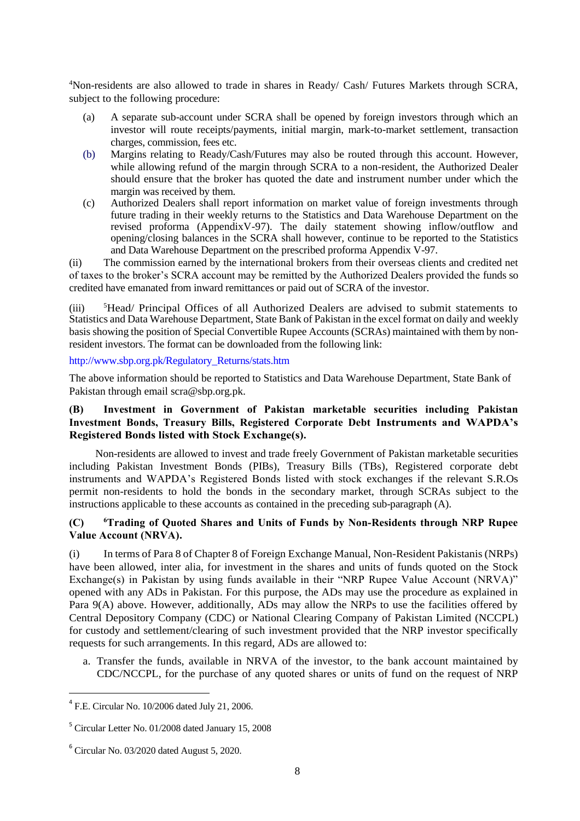<sup>4</sup>Non-residents are also allowed to trade in shares in Ready/ Cash/ Futures Markets through SCRA, subject to the following procedure:

- (a) A separate sub-account under SCRA shall be opened by foreign investors through which an investor will route receipts/payments, initial margin, mark-to-market settlement, transaction charges, commission, fees etc.
- (b) Margins relating to Ready/Cash/Futures may also be routed through this account. However, while allowing refund of the margin through SCRA to a non-resident, the Authorized Dealer should ensure that the broker has quoted the date and instrument number under which the margin was received by them.
- (c) Authorized Dealers shall report information on market value of foreign investments through future trading in their weekly returns to the Statistics and Data Warehouse Department on the revised proforma (AppendixV-97). The daily statement showing inflow/outflow and opening/closing balances in the SCRA shall however, continue to be reported to the Statistics and Data Warehouse Department on the prescribed proforma Appendix V-97.

(ii) The commission earned by the international brokers from their overseas clients and credited net of taxes to the broker's SCRA account may be remitted by the Authorized Dealers provided the funds so credited have emanated from inward remittances or paid out of SCRA of the investor.

(iii) <sup>5</sup>Head/ Principal Offices of all Authorized Dealers are advised to submit statements to Statistics and Data Warehouse Department, State Bank of Pakistan in the excel format on daily and weekly basis showing the position of Special Convertible Rupee Accounts (SCRAs) maintained with them by nonresident investors. The format can be downloaded from the following link:

[http://www.sbp.org.pk/Regulatory\\_Returns/stats.htm](http://www.sbp.org.pk/Regulatory_Returns/stats.htm)

The above information should be reported to Statistics and Data Warehouse Department, State Bank of Pakistan through email scra@sbp.org.pk.

# **(B) Investment in Government of Pakistan marketable securities including Pakistan Investment Bonds, Treasury Bills, Registered Corporate Debt Instruments and WAPDA's Registered Bonds listed with Stock Exchange(s).**

Non-residents are allowed to invest and trade freely Government of Pakistan marketable securities including Pakistan Investment Bonds (PIBs), Treasury Bills (TBs), Registered corporate debt instruments and WAPDA's Registered Bonds listed with stock exchanges if the relevant S.R.Os permit non-residents to hold the bonds in the secondary market, through SCRAs subject to the instructions applicable to these accounts as contained in the preceding sub-paragraph (A).

# **(C) <sup>6</sup>Trading of Quoted Shares and Units of Funds by Non-Residents through NRP Rupee Value Account (NRVA).**

(i) In terms of Para 8 of Chapter 8 of Foreign Exchange Manual, Non-Resident Pakistanis (NRPs) have been allowed, inter alia, for investment in the shares and units of funds quoted on the Stock Exchange(s) in Pakistan by using funds available in their "NRP Rupee Value Account (NRVA)" opened with any ADs in Pakistan. For this purpose, the ADs may use the procedure as explained in Para 9(A) above. However, additionally, ADs may allow the NRPs to use the facilities offered by Central Depository Company (CDC) or National Clearing Company of Pakistan Limited (NCCPL) for custody and settlement/clearing of such investment provided that the NRP investor specifically requests for such arrangements. In this regard, ADs are allowed to:

a. Transfer the funds, available in NRVA of the investor, to the bank account maintained by CDC/NCCPL, for the purchase of any quoted shares or units of fund on the request of NRP

 $\overline{\phantom{a}}$ 

 $4$  F.E. Circular No. 10/2006 dated July 21, 2006.

<sup>&</sup>lt;sup>5</sup> Circular Letter No. 01/2008 dated January 15, 2008

 $6$  Circular No. 03/2020 dated August 5, 2020.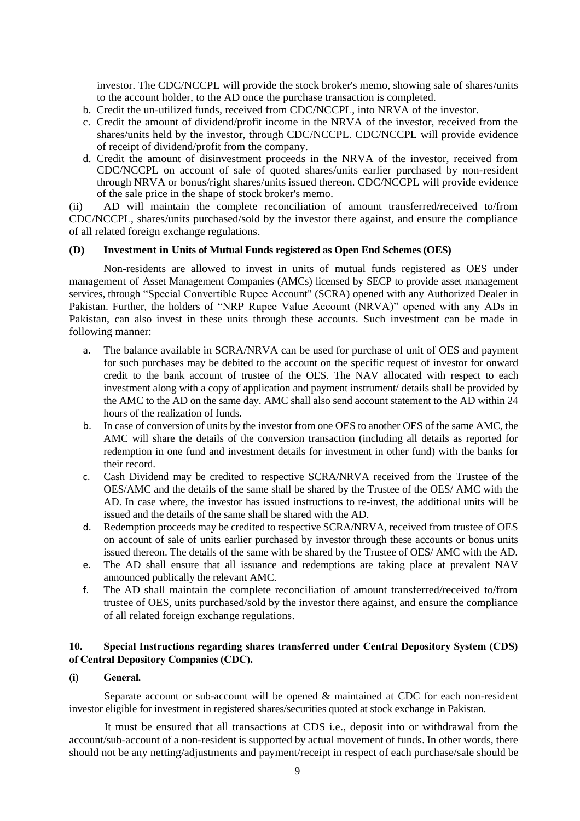investor. The CDC/NCCPL will provide the stock broker's memo, showing sale of shares/units to the account holder, to the AD once the purchase transaction is completed.

- b. Credit the un-utilized funds, received from CDC/NCCPL, into NRVA of the investor.
- c. Credit the amount of dividend/profit income in the NRVA of the investor, received from the shares/units held by the investor, through CDC/NCCPL. CDC/NCCPL will provide evidence of receipt of dividend/profit from the company.
- d. Credit the amount of disinvestment proceeds in the NRVA of the investor, received from CDC/NCCPL on account of sale of quoted shares/units earlier purchased by non-resident through NRVA or bonus/right shares/units issued thereon. CDC/NCCPL will provide evidence of the sale price in the shape of stock broker's memo.

(ii) AD will maintain the complete reconciliation of amount transferred/received to/from CDC/NCCPL, shares/units purchased/sold by the investor there against, and ensure the compliance of all related foreign exchange regulations.

#### **(D) Investment in Units of Mutual Funds registered as Open End Schemes (OES)**

Non-residents are allowed to invest in units of mutual funds registered as OES under management of Asset Management Companies (AMCs) licensed by SECP to provide asset management services, through "Special Convertible Rupee Account" (SCRA) opened with any Authorized Dealer in Pakistan. Further, the holders of "NRP Rupee Value Account (NRVA)" opened with any ADs in Pakistan, can also invest in these units through these accounts. Such investment can be made in following manner:

- a. The balance available in SCRA/NRVA can be used for purchase of unit of OES and payment for such purchases may be debited to the account on the specific request of investor for onward credit to the bank account of trustee of the OES. The NAV allocated with respect to each investment along with a copy of application and payment instrument/ details shall be provided by the AMC to the AD on the same day. AMC shall also send account statement to the AD within 24 hours of the realization of funds.
- b. In case of conversion of units by the investor from one OES to another OES of the same AMC, the AMC will share the details of the conversion transaction (including all details as reported for redemption in one fund and investment details for investment in other fund) with the banks for their record.
- c. Cash Dividend may be credited to respective SCRA/NRVA received from the Trustee of the OES/AMC and the details of the same shall be shared by the Trustee of the OES/ AMC with the AD. In case where, the investor has issued instructions to re-invest, the additional units will be issued and the details of the same shall be shared with the AD.
- d. Redemption proceeds may be credited to respective SCRA/NRVA, received from trustee of OES on account of sale of units earlier purchased by investor through these accounts or bonus units issued thereon. The details of the same with be shared by the Trustee of OES/ AMC with the AD.
- e. The AD shall ensure that all issuance and redemptions are taking place at prevalent NAV announced publically the relevant AMC.
- f. The AD shall maintain the complete reconciliation of amount transferred/received to/from trustee of OES, units purchased/sold by the investor there against, and ensure the compliance of all related foreign exchange regulations.

# **10. Special Instructions regarding shares transferred under Central Depository System (CDS) of Central Depository Companies (CDC).**

### **(i) General.**

Separate account or sub-account will be opened & maintained at CDC for each non-resident investor eligible for investment in registered shares/securities quoted at stock exchange in Pakistan.

It must be ensured that all transactions at CDS i.e., deposit into or withdrawal from the account/sub-account of a non-resident is supported by actual movement of funds. In other words, there should not be any netting/adjustments and payment/receipt in respect of each purchase/sale should be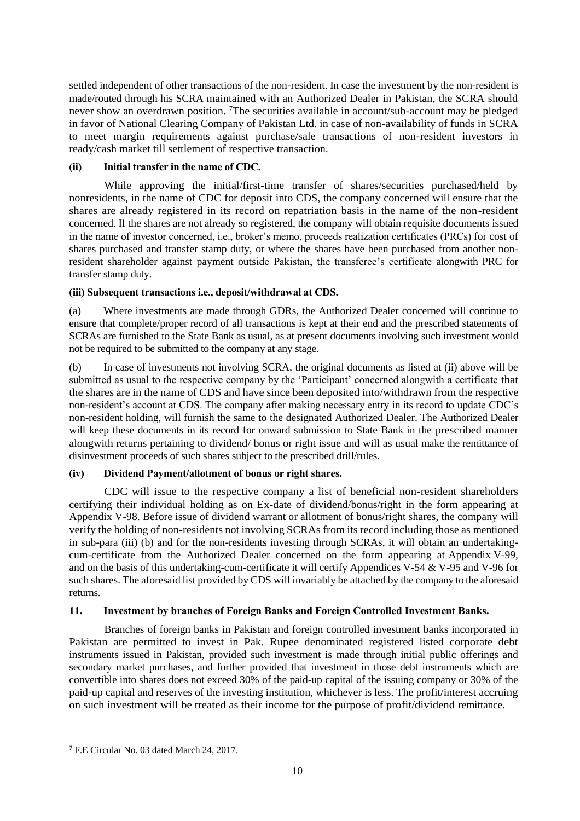settled independent of other transactions of the non-resident. In case the investment by the non-resident is made/routed through his SCRA maintained with an Authorized Dealer in Pakistan, the SCRA should never show an overdrawn position. <sup>7</sup>The securities available in account/sub-account may be pledged in favor of National Clearing Company of Pakistan Ltd. in case of non-availability of funds in SCRA to meet margin requirements against purchase/sale transactions of non-resident investors in ready/cash market till settlement of respective transaction.

# **(ii) Initial transfer in the name of CDC.**

While approving the initial/first-time transfer of shares/securities purchased/held by nonresidents, in the name of CDC for deposit into CDS, the company concerned will ensure that the shares are already registered in its record on repatriation basis in the name of the non-resident concerned. If the shares are not already so registered, the company will obtain requisite documents issued in the name of investor concerned, i.e., broker's memo, proceeds realization certificates (PRCs) for cost of shares purchased and transfer stamp duty, or where the shares have been purchased from another nonresident shareholder against payment outside Pakistan, the transferee's certificate alongwith PRC for transfer stamp duty.

# **(iii) Subsequent transactions i.e., deposit/withdrawal at CDS.**

(a) Where investments are made through GDRs, the Authorized Dealer concerned will continue to ensure that complete/proper record of all transactions is kept at their end and the prescribed statements of SCRAs are furnished to the State Bank as usual, as at present documents involving such investment would not be required to be submitted to the company at any stage.

(b) In case of investments not involving SCRA, the original documents as listed at (ii) above will be submitted as usual to the respective company by the 'Participant' concerned alongwith a certificate that the shares are in the name of CDS and have since been deposited into/withdrawn from the respective non-resident's account at CDS. The company after making necessary entry in its record to update CDC's non-resident holding, will furnish the same to the designated Authorized Dealer. The Authorized Dealer will keep these documents in its record for onward submission to State Bank in the prescribed manner alongwith returns pertaining to dividend/ bonus or right issue and will as usual make the remittance of disinvestment proceeds of such shares subject to the prescribed drill/rules.

# **(iv) Dividend Payment/allotment of bonus or right shares.**

CDC will issue to the respective company a list of beneficial non-resident shareholders certifying their individual holding as on Ex-date of dividend/bonus/right in the form appearing at Appendix V-98. Before issue of dividend warrant or allotment of bonus/right shares, the company will verify the holding of non-residents not involving SCRAs from its record including those as mentioned in sub-para (iii) (b) and for the non-residents investing through SCRAs, it will obtain an undertakingcum-certificate from the Authorized Dealer concerned on the form appearing at Appendix V-99, and on the basis of this undertaking-cum-certificate it will certify Appendices V-54 & V-95 and V-96 for such shares. The aforesaid list provided by CDS will invariably be attached by the company to the aforesaid returns.

### **11. Investment by branches of Foreign Banks and Foreign Controlled Investment Banks.**

Branches of foreign banks in Pakistan and foreign controlled investment banks incorporated in Pakistan are permitted to invest in Pak. Rupee denominated registered listed corporate debt instruments issued in Pakistan, provided such investment is made through initial public offerings and secondary market purchases, and further provided that investment in those debt instruments which are convertible into shares does not exceed 30% of the paid-up capital of the issuing company or 30% of the paid-up capital and reserves of the investing institution, whichever is less. The profit/interest accruing on such investment will be treated as their income for the purpose of profit/dividend remittance.

 $\overline{\phantom{a}}$ 

<sup>7</sup> F.E Circular No. 03 dated March 24, 2017.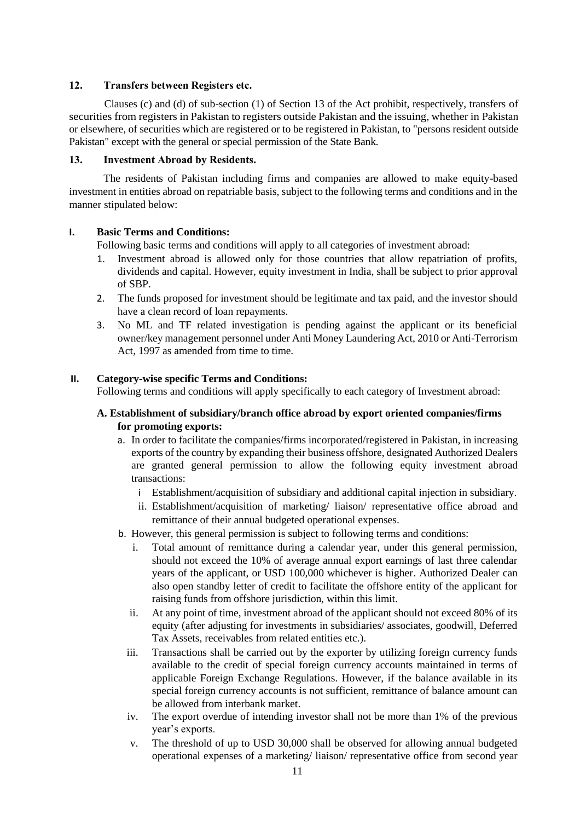# **12. Transfers between Registers etc.**

Clauses (c) and (d) of sub-section (1) of Section 13 of the Act prohibit, respectively, transfers of securities from registers in Pakistan to registers outside Pakistan and the issuing, whether in Pakistan or elsewhere, of securities which are registered or to be registered in Pakistan, to "persons resident outside Pakistan" except with the general or special permission of the State Bank.

# **13. Investment Abroad by Residents.**

The residents of Pakistan including firms and companies are allowed to make equity-based investment in entities abroad on repatriable basis, subject to the following terms and conditions and in the manner stipulated below:

# **I. Basic Terms and Conditions:**

Following basic terms and conditions will apply to all categories of investment abroad:

- 1. Investment abroad is allowed only for those countries that allow repatriation of profits, dividends and capital. However, equity investment in India, shall be subject to prior approval of SBP.
- 2. The funds proposed for investment should be legitimate and tax paid, and the investor should have a clean record of loan repayments.
- 3. No ML and TF related investigation is pending against the applicant or its beneficial owner/key management personnel under Anti Money Laundering Act, 2010 or Anti-Terrorism Act, 1997 as amended from time to time.

# **II. Category-wise specific Terms and Conditions:**

Following terms and conditions will apply specifically to each category of Investment abroad:

# **A. Establishment of subsidiary/branch office abroad by export oriented companies/firms for promoting exports:**

- a. In order to facilitate the companies/firms incorporated/registered in Pakistan, in increasing exports of the country by expanding their business offshore, designated Authorized Dealers are granted general permission to allow the following equity investment abroad transactions:
	- i Establishment/acquisition of subsidiary and additional capital injection in subsidiary.
	- ii. Establishment/acquisition of marketing/ liaison/ representative office abroad and remittance of their annual budgeted operational expenses.
- b. However, this general permission is subject to following terms and conditions:
	- i. Total amount of remittance during a calendar year, under this general permission, should not exceed the 10% of average annual export earnings of last three calendar years of the applicant, or USD 100,000 whichever is higher. Authorized Dealer can also open standby letter of credit to facilitate the offshore entity of the applicant for raising funds from offshore jurisdiction, within this limit.
	- ii. At any point of time, investment abroad of the applicant should not exceed 80% of its equity (after adjusting for investments in subsidiaries/ associates, goodwill, Deferred Tax Assets, receivables from related entities etc.).
	- iii. Transactions shall be carried out by the exporter by utilizing foreign currency funds available to the credit of special foreign currency accounts maintained in terms of applicable Foreign Exchange Regulations. However, if the balance available in its special foreign currency accounts is not sufficient, remittance of balance amount can be allowed from interbank market.
	- iv. The export overdue of intending investor shall not be more than 1% of the previous year's exports.
	- v. The threshold of up to USD 30,000 shall be observed for allowing annual budgeted operational expenses of a marketing/ liaison/ representative office from second year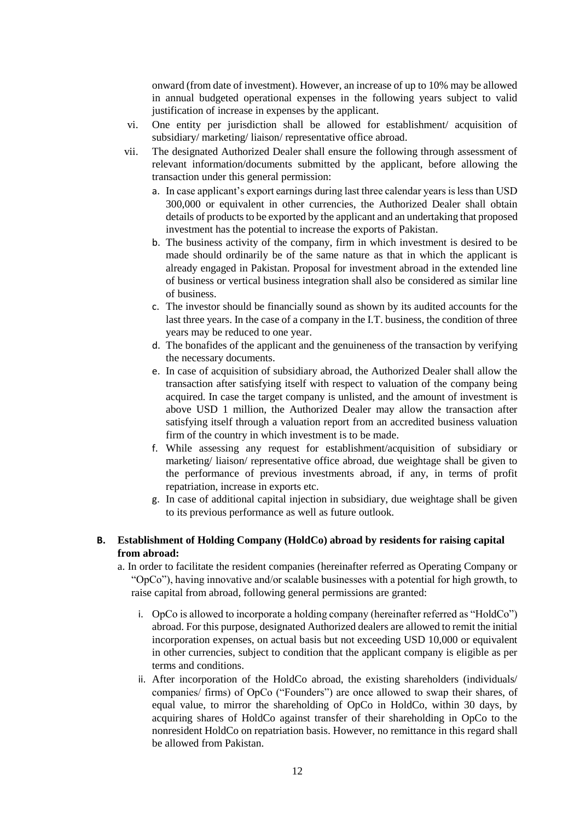onward (from date of investment). However, an increase of up to 10% may be allowed in annual budgeted operational expenses in the following years subject to valid justification of increase in expenses by the applicant.

- vi. One entity per jurisdiction shall be allowed for establishment/ acquisition of subsidiary/ marketing/ liaison/ representative office abroad.
- vii. The designated Authorized Dealer shall ensure the following through assessment of relevant information/documents submitted by the applicant, before allowing the transaction under this general permission:
	- a. In case applicant's export earnings during last three calendar years is less than USD 300,000 or equivalent in other currencies, the Authorized Dealer shall obtain details of products to be exported by the applicant and an undertaking that proposed investment has the potential to increase the exports of Pakistan.
	- b. The business activity of the company, firm in which investment is desired to be made should ordinarily be of the same nature as that in which the applicant is already engaged in Pakistan. Proposal for investment abroad in the extended line of business or vertical business integration shall also be considered as similar line of business.
	- c. The investor should be financially sound as shown by its audited accounts for the last three years. In the case of a company in the I.T. business, the condition of three years may be reduced to one year.
	- d. The bonafides of the applicant and the genuineness of the transaction by verifying the necessary documents.
	- e. In case of acquisition of subsidiary abroad, the Authorized Dealer shall allow the transaction after satisfying itself with respect to valuation of the company being acquired. In case the target company is unlisted, and the amount of investment is above USD 1 million, the Authorized Dealer may allow the transaction after satisfying itself through a valuation report from an accredited business valuation firm of the country in which investment is to be made.
	- f. While assessing any request for establishment/acquisition of subsidiary or marketing/ liaison/ representative office abroad, due weightage shall be given to the performance of previous investments abroad, if any, in terms of profit repatriation, increase in exports etc.
	- g. In case of additional capital injection in subsidiary, due weightage shall be given to its previous performance as well as future outlook.

# **B. Establishment of Holding Company (HoldCo) abroad by residents for raising capital from abroad:**

- a. In order to facilitate the resident companies (hereinafter referred as Operating Company or "OpCo"), having innovative and/or scalable businesses with a potential for high growth, to raise capital from abroad, following general permissions are granted:
	- i. OpCo is allowed to incorporate a holding company (hereinafter referred as "HoldCo") abroad. For this purpose, designated Authorized dealers are allowed to remit the initial incorporation expenses, on actual basis but not exceeding USD 10,000 or equivalent in other currencies, subject to condition that the applicant company is eligible as per terms and conditions.
	- ii. After incorporation of the HoldCo abroad, the existing shareholders (individuals/ companies/ firms) of OpCo ("Founders") are once allowed to swap their shares, of equal value, to mirror the shareholding of OpCo in HoldCo, within 30 days, by acquiring shares of HoldCo against transfer of their shareholding in OpCo to the nonresident HoldCo on repatriation basis. However, no remittance in this regard shall be allowed from Pakistan.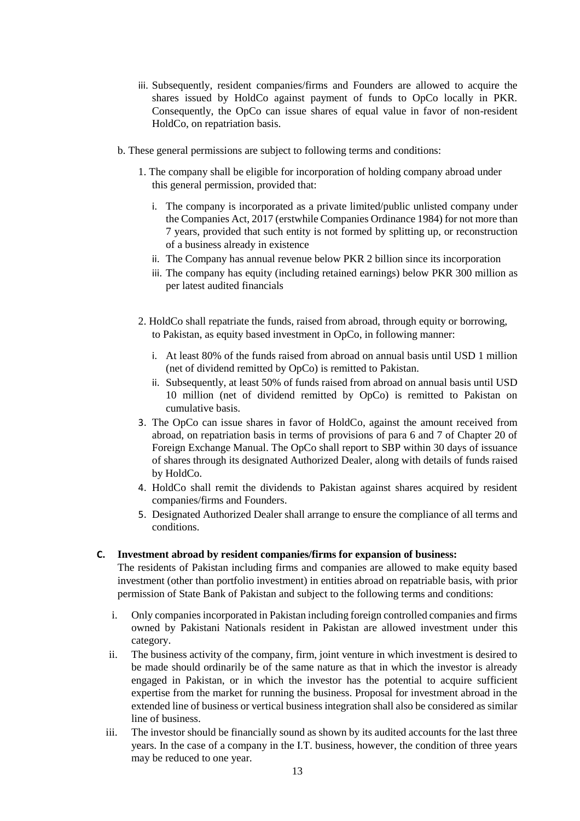- iii. Subsequently, resident companies/firms and Founders are allowed to acquire the shares issued by HoldCo against payment of funds to OpCo locally in PKR. Consequently, the OpCo can issue shares of equal value in favor of non-resident HoldCo, on repatriation basis.
- b. These general permissions are subject to following terms and conditions:
	- 1. The company shall be eligible for incorporation of holding company abroad under this general permission, provided that:
		- i. The company is incorporated as a private limited/public unlisted company under the Companies Act, 2017 (erstwhile Companies Ordinance 1984) for not more than 7 years, provided that such entity is not formed by splitting up, or reconstruction of a business already in existence
		- ii. The Company has annual revenue below PKR 2 billion since its incorporation
		- iii. The company has equity (including retained earnings) below PKR 300 million as per latest audited financials
	- 2. HoldCo shall repatriate the funds, raised from abroad, through equity or borrowing, to Pakistan, as equity based investment in OpCo, in following manner:
		- i. At least 80% of the funds raised from abroad on annual basis until USD 1 million (net of dividend remitted by OpCo) is remitted to Pakistan.
		- ii. Subsequently, at least 50% of funds raised from abroad on annual basis until USD 10 million (net of dividend remitted by OpCo) is remitted to Pakistan on cumulative basis.
	- 3. The OpCo can issue shares in favor of HoldCo, against the amount received from abroad, on repatriation basis in terms of provisions of para 6 and 7 of Chapter 20 of Foreign Exchange Manual. The OpCo shall report to SBP within 30 days of issuance of shares through its designated Authorized Dealer, along with details of funds raised by HoldCo.
	- 4. HoldCo shall remit the dividends to Pakistan against shares acquired by resident companies/firms and Founders.
	- 5. Designated Authorized Dealer shall arrange to ensure the compliance of all terms and conditions.

# **C. Investment abroad by resident companies/firms for expansion of business:**

The residents of Pakistan including firms and companies are allowed to make equity based investment (other than portfolio investment) in entities abroad on repatriable basis, with prior permission of State Bank of Pakistan and subject to the following terms and conditions:

- i. Only companies incorporated in Pakistan including foreign controlled companies and firms owned by Pakistani Nationals resident in Pakistan are allowed investment under this category.
- ii. The business activity of the company, firm, joint venture in which investment is desired to be made should ordinarily be of the same nature as that in which the investor is already engaged in Pakistan, or in which the investor has the potential to acquire sufficient expertise from the market for running the business. Proposal for investment abroad in the extended line of business or vertical business integration shall also be considered as similar line of business.
- iii. The investor should be financially sound as shown by its audited accounts for the last three years. In the case of a company in the I.T. business, however, the condition of three years may be reduced to one year.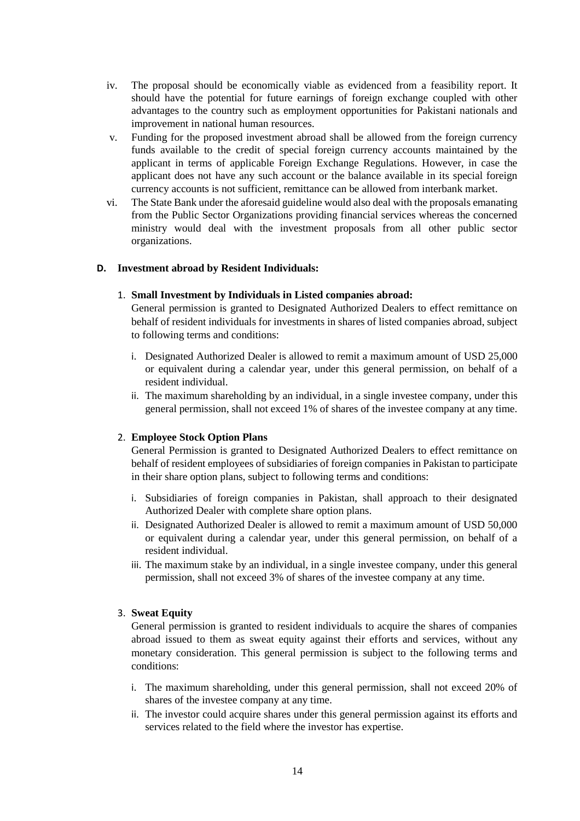- iv. The proposal should be economically viable as evidenced from a feasibility report. It should have the potential for future earnings of foreign exchange coupled with other advantages to the country such as employment opportunities for Pakistani nationals and improvement in national human resources.
- v. Funding for the proposed investment abroad shall be allowed from the foreign currency funds available to the credit of special foreign currency accounts maintained by the applicant in terms of applicable Foreign Exchange Regulations. However, in case the applicant does not have any such account or the balance available in its special foreign currency accounts is not sufficient, remittance can be allowed from interbank market.
- vi. The State Bank under the aforesaid guideline would also deal with the proposals emanating from the Public Sector Organizations providing financial services whereas the concerned ministry would deal with the investment proposals from all other public sector organizations.

### **D. Investment abroad by Resident Individuals:**

#### 1. **Small Investment by Individuals in Listed companies abroad:**

General permission is granted to Designated Authorized Dealers to effect remittance on behalf of resident individuals for investments in shares of listed companies abroad, subject to following terms and conditions:

- i. Designated Authorized Dealer is allowed to remit a maximum amount of USD 25,000 or equivalent during a calendar year, under this general permission, on behalf of a resident individual.
- ii. The maximum shareholding by an individual, in a single investee company, under this general permission, shall not exceed 1% of shares of the investee company at any time.

#### 2. **Employee Stock Option Plans**

General Permission is granted to Designated Authorized Dealers to effect remittance on behalf of resident employees of subsidiaries of foreign companies in Pakistan to participate in their share option plans, subject to following terms and conditions:

- i. Subsidiaries of foreign companies in Pakistan, shall approach to their designated Authorized Dealer with complete share option plans.
- ii. Designated Authorized Dealer is allowed to remit a maximum amount of USD 50,000 or equivalent during a calendar year, under this general permission, on behalf of a resident individual.
- iii. The maximum stake by an individual, in a single investee company, under this general permission, shall not exceed 3% of shares of the investee company at any time.

#### 3. **Sweat Equity**

General permission is granted to resident individuals to acquire the shares of companies abroad issued to them as sweat equity against their efforts and services, without any monetary consideration. This general permission is subject to the following terms and conditions:

- i. The maximum shareholding, under this general permission, shall not exceed 20% of shares of the investee company at any time.
- ii. The investor could acquire shares under this general permission against its efforts and services related to the field where the investor has expertise.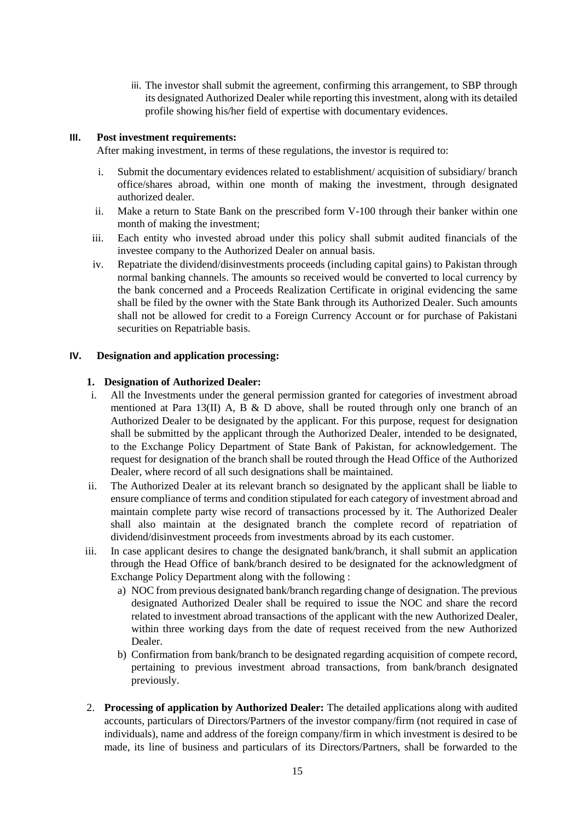iii. The investor shall submit the agreement, confirming this arrangement, to SBP through its designated Authorized Dealer while reporting this investment, along with its detailed profile showing his/her field of expertise with documentary evidences.

### **III. Post investment requirements:**

After making investment, in terms of these regulations, the investor is required to:

- i. Submit the documentary evidences related to establishment/ acquisition of subsidiary/ branch office/shares abroad, within one month of making the investment, through designated authorized dealer.
- ii. Make a return to State Bank on the prescribed form V-100 through their banker within one month of making the investment;
- iii. Each entity who invested abroad under this policy shall submit audited financials of the investee company to the Authorized Dealer on annual basis.
- iv. Repatriate the dividend/disinvestments proceeds (including capital gains) to Pakistan through normal banking channels. The amounts so received would be converted to local currency by the bank concerned and a Proceeds Realization Certificate in original evidencing the same shall be filed by the owner with the State Bank through its Authorized Dealer. Such amounts shall not be allowed for credit to a Foreign Currency Account or for purchase of Pakistani securities on Repatriable basis.

#### **IV. Designation and application processing:**

#### **1. Designation of Authorized Dealer:**

- i. All the Investments under the general permission granted for categories of investment abroad mentioned at Para 13(II) A, B & D above, shall be routed through only one branch of an Authorized Dealer to be designated by the applicant. For this purpose, request for designation shall be submitted by the applicant through the Authorized Dealer, intended to be designated, to the Exchange Policy Department of State Bank of Pakistan, for acknowledgement. The request for designation of the branch shall be routed through the Head Office of the Authorized Dealer, where record of all such designations shall be maintained.
- ii. The Authorized Dealer at its relevant branch so designated by the applicant shall be liable to ensure compliance of terms and condition stipulated for each category of investment abroad and maintain complete party wise record of transactions processed by it. The Authorized Dealer shall also maintain at the designated branch the complete record of repatriation of dividend/disinvestment proceeds from investments abroad by its each customer.
- iii. In case applicant desires to change the designated bank/branch, it shall submit an application through the Head Office of bank/branch desired to be designated for the acknowledgment of Exchange Policy Department along with the following :
	- a) NOC from previous designated bank/branch regarding change of designation. The previous designated Authorized Dealer shall be required to issue the NOC and share the record related to investment abroad transactions of the applicant with the new Authorized Dealer, within three working days from the date of request received from the new Authorized Dealer.
	- b) Confirmation from bank/branch to be designated regarding acquisition of compete record, pertaining to previous investment abroad transactions, from bank/branch designated previously.
- 2. **Processing of application by Authorized Dealer:** The detailed applications along with audited accounts, particulars of Directors/Partners of the investor company/firm (not required in case of individuals), name and address of the foreign company/firm in which investment is desired to be made, its line of business and particulars of its Directors/Partners, shall be forwarded to the